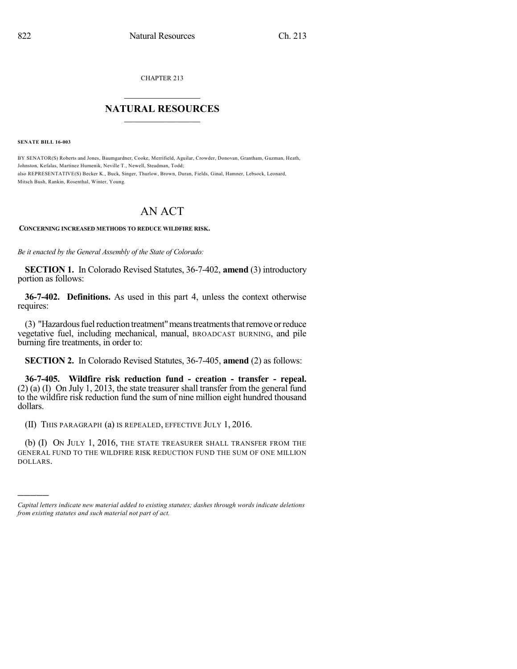CHAPTER 213

## $\mathcal{L}_\text{max}$  . The set of the set of the set of the set of the set of the set of the set of the set of the set of the set of the set of the set of the set of the set of the set of the set of the set of the set of the set **NATURAL RESOURCES**  $\frac{1}{\sqrt{2}}$  ,  $\frac{1}{\sqrt{2}}$  ,  $\frac{1}{\sqrt{2}}$  ,  $\frac{1}{\sqrt{2}}$  ,  $\frac{1}{\sqrt{2}}$  ,  $\frac{1}{\sqrt{2}}$

**SENATE BILL 16-003**

)))))

BY SENATOR(S) Roberts and Jones, Baumgardner, Cooke, Merrifield, Aguilar, Crowder, Donovan, Grantham, Guzman, Heath, Johnston, Kefalas, Martinez Humenik, Neville T., Newell, Steadman, Todd; also REPRESENTATIVE(S) Becker K., Buck, Singer, Thurlow, Brown, Duran, Fields, Ginal, Hamner, Lebsock, Leonard, Mitsch Bush, Rankin, Rosenthal, Winter, Young.

## AN ACT

## **CONCERNING INCREASED METHODS TO REDUCE WILDFIRE RISK.**

*Be it enacted by the General Assembly of the State of Colorado:*

**SECTION 1.** In Colorado Revised Statutes, 36-7-402, **amend** (3) introductory portion as follows:

**36-7-402. Definitions.** As used in this part 4, unless the context otherwise requires:

(3) "Hazardous fuel reduction treatment" means treatments that remove or reduce vegetative fuel, including mechanical, manual, BROADCAST BURNING, and pile burning fire treatments, in order to:

**SECTION 2.** In Colorado Revised Statutes, 36-7-405, **amend** (2) as follows:

**36-7-405. Wildfire risk reduction fund - creation - transfer - repeal.** (2) (a) (I) On July 1, 2013, the state treasurer shall transfer from the general fund to the wildfire risk reduction fund the sum of nine million eight hundred thousand dollars.

(II) THIS PARAGRAPH (a) IS REPEALED, EFFECTIVE JULY 1, 2016.

(b) (I) ON JULY 1, 2016, THE STATE TREASURER SHALL TRANSFER FROM THE GENERAL FUND TO THE WILDFIRE RISK REDUCTION FUND THE SUM OF ONE MILLION DOLLARS.

*Capital letters indicate new material added to existing statutes; dashes through words indicate deletions from existing statutes and such material not part of act.*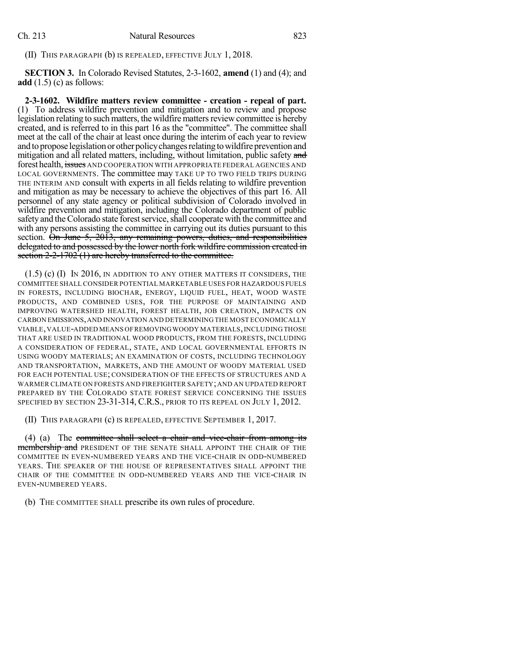(II) THIS PARAGRAPH (b) IS REPEALED, EFFECTIVE JULY 1, 2018.

**SECTION 3.** In Colorado Revised Statutes, 2-3-1602, **amend** (1) and (4); and **add** (1.5) (c) as follows:

**2-3-1602. Wildfire matters review committee - creation - repeal of part.** (1) To address wildfire prevention and mitigation and to review and propose legislation relating to such matters, the wildfire matters review committee is hereby created, and is referred to in this part 16 as the "committee". The committee shall meet at the call of the chair at least once during the interim of each year to review and to propose legislation or other policy changes relating to wildfire prevention and mitigation and all related matters, including, without limitation, public safety and forest health, issues AND COOPERATION WITH APPROPRIATE FEDERAL AGENCIES AND LOCAL GOVERNMENTS. The committee may TAKE UP TO TWO FIELD TRIPS DURING THE INTERIM AND consult with experts in all fields relating to wildfire prevention and mitigation as may be necessary to achieve the objectives of this part 16. All personnel of any state agency or political subdivision of Colorado involved in wildfire prevention and mitigation, including the Colorado department of public safety and the Colorado state forest service, shall cooperate with the committee and with any persons assisting the committee in carrying out its duties pursuant to this section.  $\hat{\Theta}$ n June 5, 2013, any remaining powers, duties, and responsibilities delegated to and possessed by the lower north fork wildfire commission created in section  $2-2-1702$  (1) are hereby transferred to the committee.

(1.5) (c) (I) IN 2016, IN ADDITION TO ANY OTHER MATTERS IT CONSIDERS, THE COMMITTEE SHALL CONSIDER POTENTIAL MARKETABLE USES FOR HAZARDOUS FUELS IN FORESTS, INCLUDING BIOCHAR, ENERGY, LIQUID FUEL, HEAT, WOOD WASTE PRODUCTS, AND COMBINED USES, FOR THE PURPOSE OF MAINTAINING AND IMPROVING WATERSHED HEALTH, FOREST HEALTH, JOB CREATION, IMPACTS ON CARBON EMISSIONS,AND INNOVATION AND DETERMINING THE MOST ECONOMICALLY VIABLE,VALUE-ADDED MEANS OFREMOVINGWOODY MATERIALS,INCLUDING THOSE THAT ARE USED IN TRADITIONAL WOOD PRODUCTS, FROM THE FORESTS, INCLUDING A CONSIDERATION OF FEDERAL, STATE, AND LOCAL GOVERNMENTAL EFFORTS IN USING WOODY MATERIALS; AN EXAMINATION OF COSTS, INCLUDING TECHNOLOGY AND TRANSPORTATION, MARKETS, AND THE AMOUNT OF WOODY MATERIAL USED FOR EACH POTENTIAL USE; CONSIDERATION OF THE EFFECTS OF STRUCTURES AND A WARMER CLIMATE ON FORESTS AND FIREFIGHTER SAFETY; AND AN UPDATED REPORT PREPARED BY THE COLORADO STATE FOREST SERVICE CONCERNING THE ISSUES SPECIFIED BY SECTION 23-31-314, C.R.S., PRIOR TO ITS REPEAL ON JULY 1, 2012.

(II) THIS PARAGRAPH (c) IS REPEALED, EFFECTIVE SEPTEMBER 1, 2017.

(4) (a) The committee shall select a chair and vice-chair from among its membership and PRESIDENT OF THE SENATE SHALL APPOINT THE CHAIR OF THE COMMITTEE IN EVEN-NUMBERED YEARS AND THE VICE-CHAIR IN ODD-NUMBERED YEARS. THE SPEAKER OF THE HOUSE OF REPRESENTATIVES SHALL APPOINT THE CHAIR OF THE COMMITTEE IN ODD-NUMBERED YEARS AND THE VICE-CHAIR IN EVEN-NUMBERED YEARS.

(b) THE COMMITTEE SHALL prescribe its own rules of procedure.